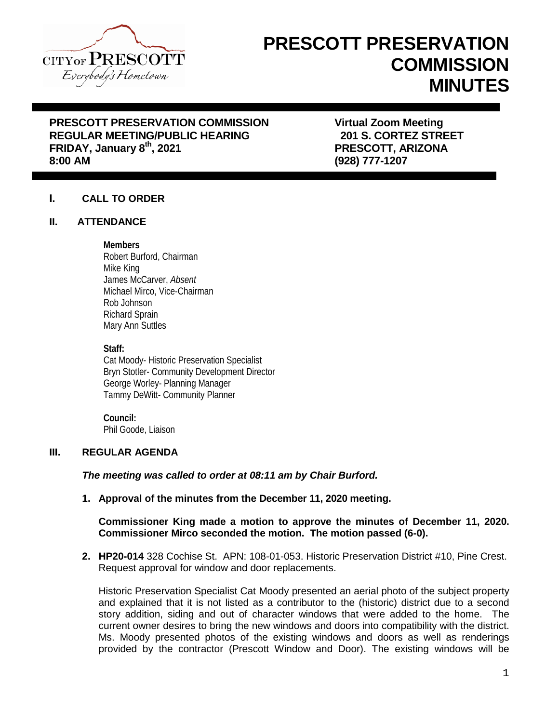

# **PRESCOTT PRESERVATION COMMISSION MINUTES**

# **PRESCOTT PRESERVATION COMMISSION Virtual Zoom Meeting REGULAR MEETING/PUBLIC HEARING FRIDAY, January 8<sup>th</sup>, 2021 <b>PRESCOTT, ARIZONA**<br>8:00 AM

**8:00 AM (928) 777-1207**

# **I. CALL TO ORDER**

#### **II. ATTENDANCE**

#### **Members**

Robert Burford, Chairman Mike King James McCarver, *Absent* Michael Mirco, Vice-Chairman Rob Johnson Richard Sprain Mary Ann Suttles

#### **Staff:**

Cat Moody- Historic Preservation Specialist Bryn Stotler- Community Development Director George Worley- Planning Manager Tammy DeWitt- Community Planner

**Council:** Phil Goode, Liaison

# **III. REGULAR AGENDA**

## *The meeting was called to order at 08:11 am by Chair Burford.*

**1. Approval of the minutes from the December 11, 2020 meeting.**

## **Commissioner King made a motion to approve the minutes of December 11, 2020. Commissioner Mirco seconded the motion. The motion passed (6-0).**

**2. HP20-014** 328 Cochise St. APN: 108-01-053. Historic Preservation District #10, Pine Crest. Request approval for window and door replacements.

Historic Preservation Specialist Cat Moody presented an aerial photo of the subject property and explained that it is not listed as a contributor to the (historic) district due to a second story addition, siding and out of character windows that were added to the home. The current owner desires to bring the new windows and doors into compatibility with the district. Ms. Moody presented photos of the existing windows and doors as well as renderings provided by the contractor (Prescott Window and Door). The existing windows will be